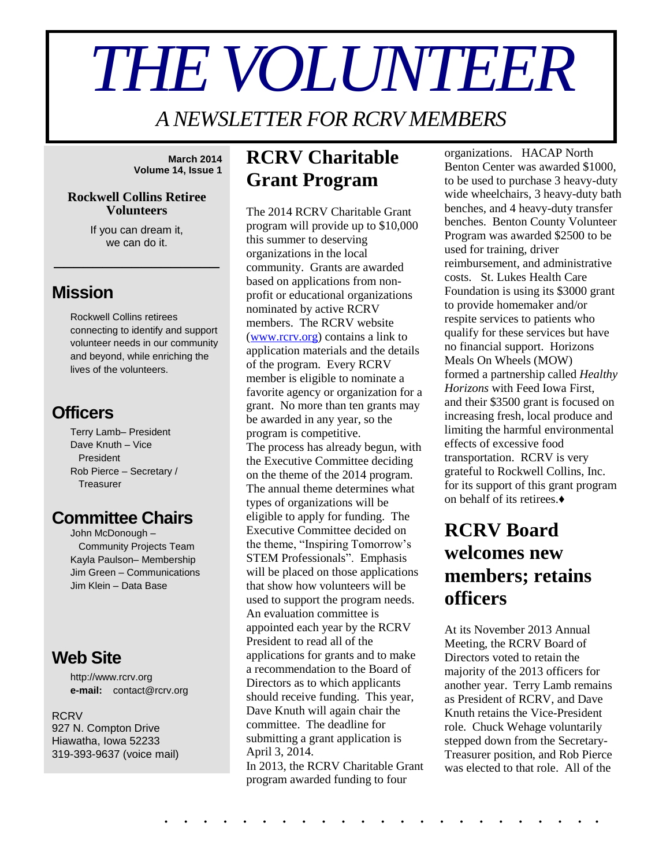# *THE VOLUNTEER*

*A NEWSLETTER FOR RCRV MEMBERS*

**March 2014 Volume 14, Issue 1**

#### **Rockwell Collins Retiree Volunteers**

If you can dream it, we can do it.

\_\_\_\_\_\_\_\_\_\_\_\_\_\_\_\_\_

## **Mission**

Rockwell Collins retirees connecting to identify and support volunteer needs in our community and beyond, while enriching the lives of the volunteers.

## **Officers**

Terry Lamb– President Dave Knuth – Vice President Rob Pierce – Secretary / **Treasurer** 

## **Committee Chairs**

John McDonough – Community Projects Team Kayla Paulson– Membership Jim Green – Communications Jim Klein – Data Base

## **Web Site**

http://www.rcrv.org **e-mail:** contact@rcrv.org

#### **RCRV**

927 N. Compton Drive Hiawatha, Iowa 52233 319-393-9637 (voice mail)

## **RCRV Charitable Grant Program**

The 2014 RCRV Charitable Grant program will provide up to \$10,000 this summer to deserving organizations in the local community. Grants are awarded based on applications from nonprofit or educational organizations nominated by active RCRV members. The RCRV website [\(www.rcrv.org\)](http://www.rcrv.org/) contains a link to application materials and the details of the program. Every RCRV member is eligible to nominate a favorite agency or organization for a grant. No more than ten grants may be awarded in any year, so the program is competitive. The process has already begun, with the Executive Committee deciding on the theme of the 2014 program. The annual theme determines what types of organizations will be eligible to apply for funding. The Executive Committee decided on the theme, "Inspiring Tomorrow's STEM Professionals". Emphasis will be placed on those applications that show how volunteers will be used to support the program needs. An evaluation committee is appointed each year by the RCRV President to read all of the applications for grants and to make a recommendation to the Board of Directors as to which applicants should receive funding. This year, Dave Knuth will again chair the committee. The deadline for submitting a grant application is April 3, 2014. In 2013, the RCRV Charitable Grant

program awarded funding to four

. . . . . . . . . . . . . . . . . . . . . . .

organizations. HACAP North Benton Center was awarded \$1000, to be used to purchase 3 heavy-duty wide wheelchairs, 3 heavy-duty bath benches, and 4 heavy-duty transfer benches. Benton County Volunteer Program was awarded \$2500 to be used for training, driver reimbursement, and administrative costs. St. Lukes Health Care Foundation is using its \$3000 grant to provide homemaker and/or respite services to patients who qualify for these services but have no financial support. Horizons Meals On Wheels (MOW) formed a partnership called *Healthy Horizons* with Feed Iowa First, and their \$3500 grant is focused on increasing fresh, local produce and limiting the harmful environmental effects of excessive food transportation. RCRV is very grateful to Rockwell Collins, Inc. for its support of this grant program on behalf of its retirees.♦

## **RCRV Board welcomes new members; retains officers**

At its November 2013 Annual Meeting, the RCRV Board of Directors voted to retain the majority of the 2013 officers for another year. Terry Lamb remains as President of RCRV, and Dave Knuth retains the Vice-President role. Chuck Wehage voluntarily stepped down from the Secretary-Treasurer position, and Rob Pierce was elected to that role. All of the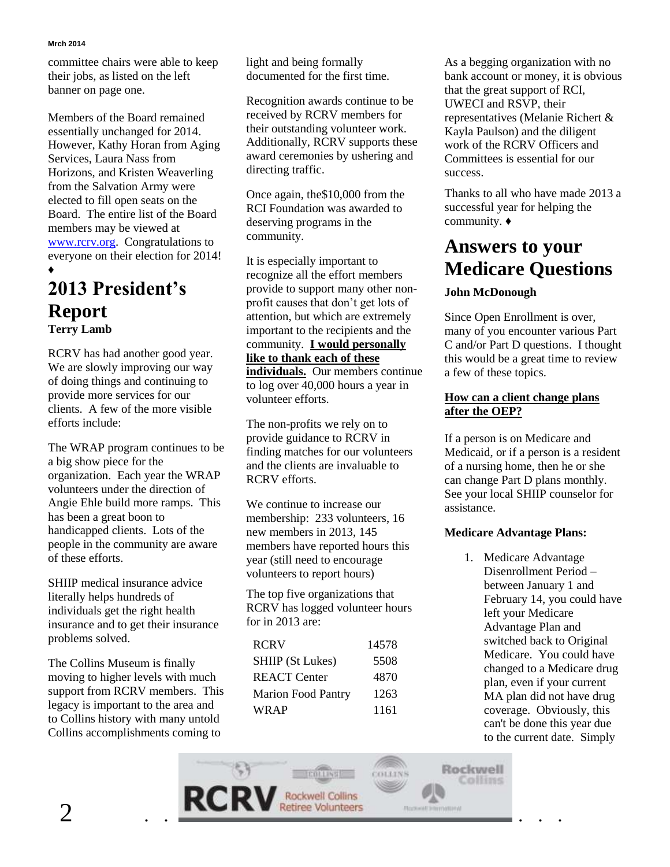#### **Mrch 2014**

committee chairs were able to keep their jobs, as listed on the left banner on page one.

Members of the Board remained essentially unchanged for 2014. However, Kathy Horan from Aging Services, Laura Nass from Horizons, and Kristen Weaverling from the Salvation Army were elected to fill open seats on the Board. The entire list of the Board members may be viewed at [www.rcrv.org.](www.rcrv.org) Congratulations to everyone on their election for 2014! ♦

## **2013 President's Report Terry Lamb**

RCRV has had another good year. We are slowly improving our way of doing things and continuing to provide more services for our clients. A few of the more visible efforts include:

The WRAP program continues to be a big show piece for the organization. Each year the WRAP volunteers under the direction of Angie Ehle build more ramps. This has been a great boon to handicapped clients. Lots of the people in the community are aware of these efforts.

SHIIP medical insurance advice literally helps hundreds of individuals get the right health insurance and to get their insurance problems solved.

The Collins Museum is finally moving to higher levels with much support from RCRV members. This legacy is important to the area and to Collins history with many untold Collins accomplishments coming to

light and being formally documented for the first time.

Recognition awards continue to be received by RCRV members for their outstanding volunteer work. Additionally, RCRV supports these award ceremonies by ushering and directing traffic.

Once again, the\$10,000 from the RCI Foundation was awarded to deserving programs in the community.

It is especially important to recognize all the effort members provide to support many other nonprofit causes that don't get lots of attention, but which are extremely important to the recipients and the community. **I would personally like to thank each of these individuals.** Our members continue to log over 40,000 hours a year in volunteer efforts.

The non-profits we rely on to provide guidance to RCRV in finding matches for our volunteers and the clients are invaluable to RCRV efforts.

We continue to increase our membership: 233 volunteers, 16 new members in 2013, 145 members have reported hours this year (still need to encourage volunteers to report hours)

The top five organizations that RCRV has logged volunteer hours for in 2013 are:

| <b>RCRV</b>               | 14578 |
|---------------------------|-------|
| <b>SHIIP</b> (St Lukes)   | 5508  |
| <b>REACT</b> Center       | 4870  |
| <b>Marion Food Pantry</b> | 1263  |
| <b>WRAP</b>               | 1161  |

As a begging organization with no bank account or money, it is obvious that the great support of RCI, UWECI and RSVP, their representatives (Melanie Richert & Kayla Paulson) and the diligent work of the RCRV Officers and Committees is essential for our success.

Thanks to all who have made 2013 a successful year for helping the community. ♦

## **Answers to your Medicare Questions**

## **John McDonough**

Since Open Enrollment is over, many of you encounter various Part C and/or Part D questions. I thought this would be a great time to review a few of these topics.

#### **How can a client change plans after the OEP?**

If a person is on Medicare and Medicaid, or if a person is a resident of a nursing home, then he or she can change Part D plans monthly. See your local SHIIP counselor for assistance.

## **Medicare Advantage Plans:**

1. Medicare Advantage Disenrollment Period – between January 1 and February 14, you could have left your Medicare Advantage Plan and switched back to Original Medicare. You could have changed to a Medicare drug plan, even if your current MA plan did not have drug coverage. Obviously, this can't be done this year due to the current date. Simply

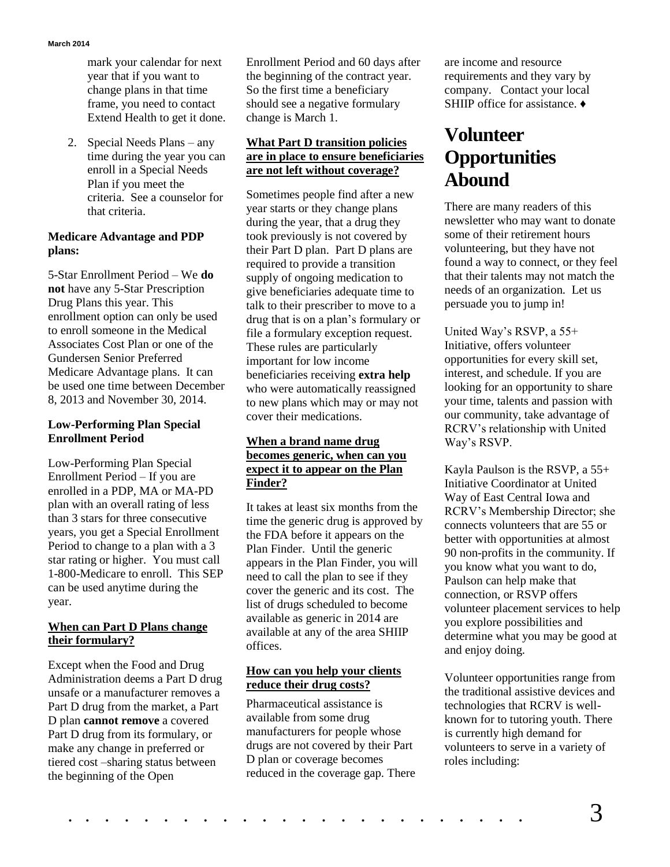mark your calendar for next year that if you want to change plans in that time frame, you need to contact Extend Health to get it done.

2. Special Needs Plans – any time during the year you can enroll in a Special Needs Plan if you meet the criteria. See a counselor for that criteria.

#### **Medicare Advantage and PDP plans:**

5-Star Enrollment Period – We **do not** have any 5-Star Prescription Drug Plans this year. This enrollment option can only be used to enroll someone in the Medical Associates Cost Plan or one of the Gundersen Senior Preferred Medicare Advantage plans. It can be used one time between December 8, 2013 and November 30, 2014.

#### **Low-Performing Plan Special Enrollment Period**

Low-Performing Plan Special Enrollment Period – If you are enrolled in a PDP, MA or MA-PD plan with an overall rating of less than 3 stars for three consecutive years, you get a Special Enrollment Period to change to a plan with a 3 star rating or higher. You must call 1-800-Medicare to enroll. This SEP can be used anytime during the year.

### **When can Part D Plans change their formulary?**

Except when the Food and Drug Administration deems a Part D drug unsafe or a manufacturer removes a Part D drug from the market, a Part D plan **cannot remove** a covered Part D drug from its formulary, or make any change in preferred or tiered cost –sharing status between the beginning of the Open

Enrollment Period and 60 days after the beginning of the contract year. So the first time a beneficiary should see a negative formulary change is March 1.

### **What Part D transition policies are in place to ensure beneficiaries are not left without coverage?**

Sometimes people find after a new year starts or they change plans during the year, that a drug they took previously is not covered by their Part D plan. Part D plans are required to provide a transition supply of ongoing medication to give beneficiaries adequate time to talk to their prescriber to move to a drug that is on a plan's formulary or file a formulary exception request. These rules are particularly important for low income beneficiaries receiving **extra help** who were automatically reassigned to new plans which may or may not cover their medications.

#### **When a brand name drug becomes generic, when can you expect it to appear on the Plan Finder?**

It takes at least six months from the time the generic drug is approved by the FDA before it appears on the Plan Finder. Until the generic appears in the Plan Finder, you will need to call the plan to see if they cover the generic and its cost. The list of drugs scheduled to become available as generic in 2014 are available at any of the area SHIIP offices.

### **How can you help your clients reduce their drug costs?**

Pharmaceutical assistance is available from some drug manufacturers for people whose drugs are not covered by their Part D plan or coverage becomes reduced in the coverage gap. There are income and resource requirements and they vary by company. Contact your local SHIIP office for assistance. ♦

## **Volunteer Opportunities Abound**

There are many readers of this newsletter who may want to donate some of their retirement hours volunteering, but they have not found a way to connect, or they feel that their talents may not match the needs of an organization. Let us persuade you to jump in!

United Way's RSVP, a 55+ Initiative, offers volunteer opportunities for every skill set, interest, and schedule. If you are looking for an opportunity to share your time, talents and passion with our community, take advantage of RCRV's relationship with United Way's RSVP.

Kayla Paulson is the RSVP, a 55+ Initiative Coordinator at United Way of East Central Iowa and RCRV's Membership Director; she connects volunteers that are 55 or better with opportunities at almost 90 non-profits in the community. If you know what you want to do, Paulson can help make that connection, or RSVP offers volunteer placement services to help you explore possibilities and determine what you may be good at and enjoy doing.

Volunteer opportunities range from the traditional assistive devices and technologies that RCRV is wellknown for to tutoring youth. There is currently high demand for volunteers to serve in a variety of roles including: